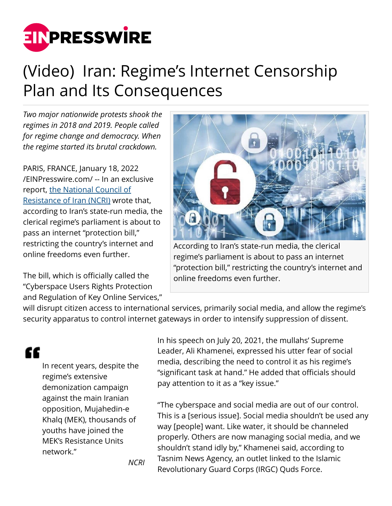

## (Video) Iran: Regime's Internet Censorship Plan and Its Consequences

*Two major nationwide protests shook the regimes in 2018 and 2019. People called for regime change and democracy. When the regime started its brutal crackdown.*

PARIS, FRANCE, January 18, 2022 [/EINPresswire.com/](http://www.einpresswire.com) -- In an exclusive report, [the National Council of](https://www.ncr-iran.org/en/about-ncri/alternative/) [Resistance of Iran \(NCRI\)](https://www.ncr-iran.org/en/about-ncri/alternative/) wrote that, according to Iran's state-run media, the clerical regime's parliament is about to pass an internet "protection bill," restricting the country's internet and online freedoms even further.

The bill, which is officially called the "Cyberspace Users Rights Protection and Regulation of Key Online Services,"



According to Iran's state-run media, the clerical regime's parliament is about to pass an internet "protection bill," restricting the country's internet and online freedoms even further.

will disrupt citizen access to international services, primarily social media, and allow the regime's security apparatus to control internet gateways in order to intensify suppression of dissent.

## ££

In recent years, despite the regime's extensive demonization campaign against the main Iranian opposition, Mujahedin-e Khalq (MEK), thousands of youths have joined the MEK's Resistance Units network."

In his speech on July 20, 2021, the mullahs' Supreme Leader, Ali Khamenei, expressed his utter fear of social media, describing the need to control it as his regime's "significant task at hand." He added that officials should pay attention to it as a "key issue."

"The cyberspace and social media are out of our control. This is a [serious issue]. Social media shouldn't be used any way [people] want. Like water, it should be channeled properly. Others are now managing social media, and we shouldn't stand idly by," Khamenei said, according to Tasnim News Agency, an outlet linked to the Islamic Revolutionary Guard Corps (IRGC) Quds Force.

*NCRI*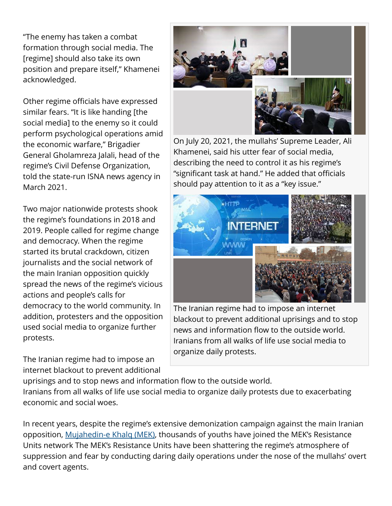"The enemy has taken a combat formation through social media. The [regime] should also take its own position and prepare itself," Khamenei acknowledged.

Other regime officials have expressed similar fears. "It is like handing [the social media] to the enemy so it could perform psychological operations amid the economic warfare," Brigadier General Gholamreza Jalali, head of the regime's Civil Defense Organization, told the state-run ISNA news agency in March 2021.

Two major nationwide protests shook the regime's foundations in 2018 and 2019. People called for regime change and democracy. When the regime started its brutal crackdown, citizen journalists and the social network of the main Iranian opposition quickly spread the news of the regime's vicious actions and people's calls for democracy to the world community. In addition, protesters and the opposition used social media to organize further protests.

The Iranian regime had to impose an internet blackout to prevent additional



On July 20, 2021, the mullahs' Supreme Leader, Ali Khamenei, said his utter fear of social media, describing the need to control it as his regime's "significant task at hand." He added that officials should pay attention to it as a "key issue."



The Iranian regime had to impose an internet blackout to prevent additional uprisings and to stop news and information flow to the outside world. Iranians from all walks of life use social media to organize daily protests.

uprisings and to stop news and information flow to the outside world. Iranians from all walks of life use social media to organize daily protests due to exacerbating economic and social woes.

In recent years, despite the regime's extensive demonization campaign against the main Iranian opposition, [Mujahedin-e Khalq \(MEK\)](https://english.mojahedin.org/a-primer-on-the-history-of-the-peoples-mojahedin-organization-of-iran/), thousands of youths have joined the MEK's Resistance Units network The MEK's Resistance Units have been shattering the regime's atmosphere of suppression and fear by conducting daring daily operations under the nose of the mullahs' overt and covert agents.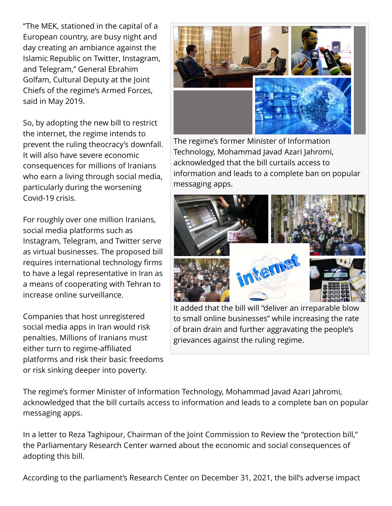"The MEK, stationed in the capital of a European country, are busy night and day creating an ambiance against the Islamic Republic on Twitter, Instagram, and Telegram," General Ebrahim Golfam, Cultural Deputy at the Joint Chiefs of the regime's Armed Forces, said in May 2019.

So, by adopting the new bill to restrict the internet, the regime intends to prevent the ruling theocracy's downfall. It will also have severe economic consequences for millions of Iranians who earn a living through social media, particularly during the worsening Covid-19 crisis.

For roughly over one million Iranians, social media platforms such as Instagram, Telegram, and Twitter serve as virtual businesses. The proposed bill requires international technology firms to have a legal representative in Iran as a means of cooperating with Tehran to increase online surveillance.

Companies that host unregistered social media apps in Iran would risk penalties. Millions of Iranians must either turn to regime-affiliated platforms and risk their basic freedoms or risk sinking deeper into poverty.



The regime's former Minister of Information Technology, Mohammad Javad Azari Jahromi, acknowledged that the bill curtails access to information and leads to a complete ban on popular messaging apps.



It added that the bill will "deliver an irreparable blow to small online businesses" while increasing the rate of brain drain and further aggravating the people's grievances against the ruling regime.

The regime's former Minister of Information Technology, Mohammad Javad Azari Jahromi, acknowledged that the bill curtails access to information and leads to a complete ban on popular messaging apps.

In a letter to Reza Taghipour, Chairman of the Joint Commission to Review the "protection bill," the Parliamentary Research Center warned about the economic and social consequences of adopting this bill.

According to the parliament's Research Center on December 31, 2021, the bill's adverse impact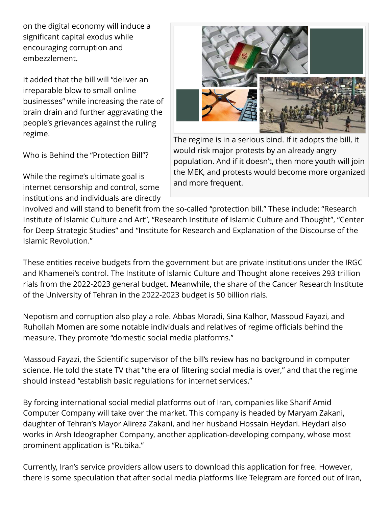on the digital economy will induce a significant capital exodus while encouraging corruption and embezzlement.

It added that the bill will "deliver an irreparable blow to small online businesses" while increasing the rate of brain drain and further aggravating the people's grievances against the ruling regime.

Who is Behind the "Protection Bill"?

While the regime's ultimate goal is internet censorship and control, some institutions and individuals are directly



The regime is in a serious bind. If it adopts the bill, it would risk major protests by an already angry population. And if it doesn't, then more youth will join the MEK, and protests would become more organized and more frequent.

involved and will stand to benefit from the so-called "protection bill." These include: "Research Institute of Islamic Culture and Art", "Research Institute of Islamic Culture and Thought", "Center for Deep Strategic Studies" and "Institute for Research and Explanation of the Discourse of the Islamic Revolution."

These entities receive budgets from the government but are private institutions under the IRGC and Khamenei's control. The Institute of Islamic Culture and Thought alone receives 293 trillion rials from the 2022-2023 general budget. Meanwhile, the share of the Cancer Research Institute of the University of Tehran in the 2022-2023 budget is 50 billion rials.

Nepotism and corruption also play a role. Abbas Moradi, Sina Kalhor, Massoud Fayazi, and Ruhollah Momen are some notable individuals and relatives of regime officials behind the measure. They promote "domestic social media platforms."

Massoud Fayazi, the Scientific supervisor of the bill's review has no background in computer science. He told the state TV that "the era of filtering social media is over," and that the regime should instead "establish basic regulations for internet services."

By forcing international social medial platforms out of Iran, companies like Sharif Amid Computer Company will take over the market. This company is headed by Maryam Zakani, daughter of Tehran's Mayor Alireza Zakani, and her husband Hossain Heydari. Heydari also works in Arsh Ideographer Company, another application-developing company, whose most prominent application is "Rubika."

Currently, Iran's service providers allow users to download this application for free. However, there is some speculation that after social media platforms like Telegram are forced out of Iran,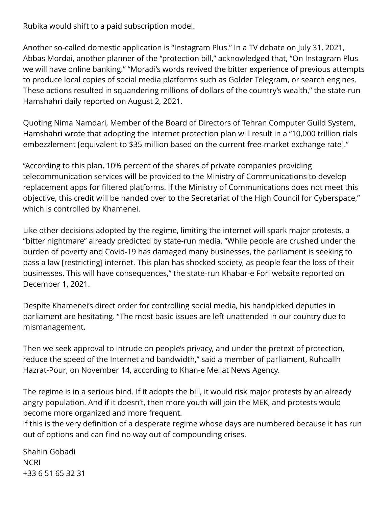Rubika would shift to a paid subscription model.

Another so-called domestic application is "Instagram Plus." In a TV debate on July 31, 2021, Abbas Mordai, another planner of the "protection bill," acknowledged that, "On Instagram Plus we will have online banking." "Moradi's words revived the bitter experience of previous attempts to produce local copies of social media platforms such as Golder Telegram, or search engines. These actions resulted in squandering millions of dollars of the country's wealth," the state-run Hamshahri daily reported on August 2, 2021.

Quoting Nima Namdari, Member of the Board of Directors of Tehran Computer Guild System, Hamshahri wrote that adopting the internet protection plan will result in a "10,000 trillion rials embezzlement [equivalent to \$35 million based on the current free-market exchange rate]."

"According to this plan, 10% percent of the shares of private companies providing telecommunication services will be provided to the Ministry of Communications to develop replacement apps for filtered platforms. If the Ministry of Communications does not meet this objective, this credit will be handed over to the Secretariat of the High Council for Cyberspace," which is controlled by Khamenei.

Like other decisions adopted by the regime, limiting the internet will spark major protests, a "bitter nightmare" already predicted by state-run media. "While people are crushed under the burden of poverty and Covid-19 has damaged many businesses, the parliament is seeking to pass a law [restricting] internet. This plan has shocked society, as people fear the loss of their businesses. This will have consequences," the state-run Khabar-e Fori website reported on December 1, 2021.

Despite Khamenei's direct order for controlling social media, his handpicked deputies in parliament are hesitating. "The most basic issues are left unattended in our country due to mismanagement.

Then we seek approval to intrude on people's privacy, and under the pretext of protection, reduce the speed of the Internet and bandwidth," said a member of parliament, Ruhoallh Hazrat-Pour, on November 14, according to Khan-e Mellat News Agency.

The regime is in a serious bind. If it adopts the bill, it would risk major protests by an already angry population. And if it doesn't, then more youth will join the MEK, and protests would become more organized and more frequent.

if this is the very definition of a desperate regime whose days are numbered because it has run out of options and can find no way out of compounding crises.

Shahin Gobadi **NCRI** +33 6 51 65 32 31